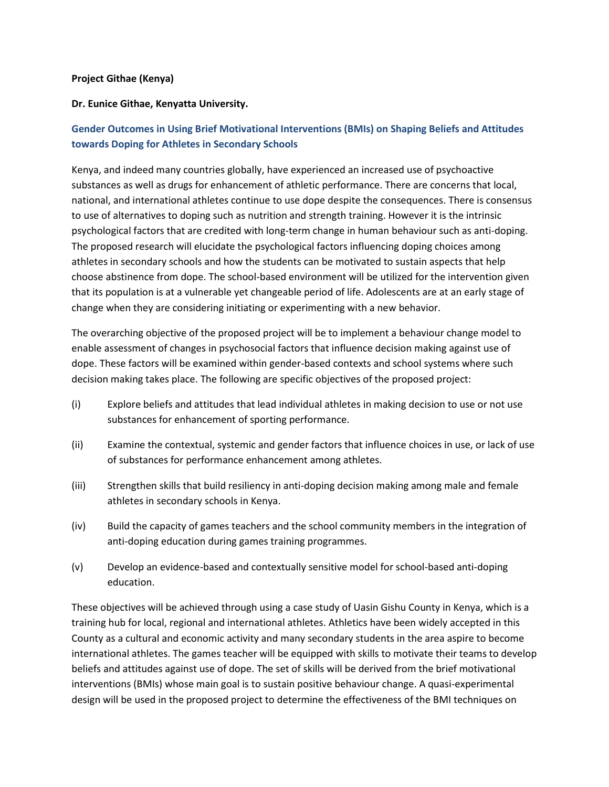## **Project Githae (Kenya)**

## **Dr. Eunice Githae, Kenyatta University.**

## **Gender Outcomes in Using Brief Motivational Interventions (BMIs) on Shaping Beliefs and Attitudes towards Doping for Athletes in Secondary Schools**

Kenya, and indeed many countries globally, have experienced an increased use of psychoactive substances as well as drugs for enhancement of athletic performance. There are concerns that local, national, and international athletes continue to use dope despite the consequences. There is consensus to use of alternatives to doping such as nutrition and strength training. However it is the intrinsic psychological factors that are credited with long-term change in human behaviour such as anti-doping. The proposed research will elucidate the psychological factors influencing doping choices among athletes in secondary schools and how the students can be motivated to sustain aspects that help choose abstinence from dope. The school-based environment will be utilized for the intervention given that its population is at a vulnerable yet changeable period of life. Adolescents are at an early stage of change when they are considering initiating or experimenting with a new behavior.

The overarching objective of the proposed project will be to implement a behaviour change model to enable assessment of changes in psychosocial factors that influence decision making against use of dope. These factors will be examined within gender-based contexts and school systems where such decision making takes place. The following are specific objectives of the proposed project:

- (i) Explore beliefs and attitudes that lead individual athletes in making decision to use or not use substances for enhancement of sporting performance.
- (ii) Examine the contextual, systemic and gender factors that influence choices in use, or lack of use of substances for performance enhancement among athletes.
- (iii) Strengthen skills that build resiliency in anti-doping decision making among male and female athletes in secondary schools in Kenya.
- (iv) Build the capacity of games teachers and the school community members in the integration of anti-doping education during games training programmes.
- (v) Develop an evidence-based and contextually sensitive model for school-based anti-doping education.

These objectives will be achieved through using a case study of Uasin Gishu County in Kenya, which is a training hub for local, regional and international athletes. Athletics have been widely accepted in this County as a cultural and economic activity and many secondary students in the area aspire to become international athletes. The games teacher will be equipped with skills to motivate their teams to develop beliefs and attitudes against use of dope. The set of skills will be derived from the brief motivational interventions (BMIs) whose main goal is to sustain positive behaviour change. A quasi-experimental design will be used in the proposed project to determine the effectiveness of the BMI techniques on